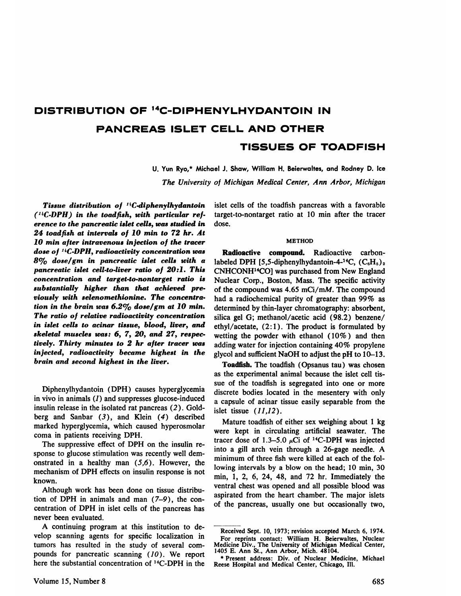# **DISTRIBUTION OF '4C—DIPHENYLHYDANTOIN IN PANCREAS ISLET CELL AND OTHER TISSUES OF TOADFISH**

U. Yun Ryo,\* Michael J. Shaw, William H. Beierwaltes, and Rodney D. Ice *The University of Michigan Medical Center, Ann Arbor, Michigan*

*Tissue distribution of ' 3C-diphenylhydantoin (14C-DPH) in the toadflsh, with particular ref erence to the pancreatic islet cells, was studied in*  $24$  toadfish at intervals of  $10$  min to  $72$  hr. At  $10$  min after intravenous injection of the tracer *dose of 1'C-DPH, radioactivity concentration was 8% dose/gm in pancreatic islet cells with a pancreatic islet cell-to-liver ratio of 20:1 . This concentration and target-to-nontarget ratio is substantially higher than that achieved pre viously with selenomethionine. The concentra tion in the brain was 6.2% dose/gm at 10 mm. The ratio of relative radioactivity concentration in islet cells to acinar tissue, blood, liver, and skeletal muscles was : 6, 7, 20, and 27, respec tively. Thirty minutes to 2 hr after tracer was injected, radioactivity became highest in the brain and second highest in the liver.*

Diphenylhydantoin (DPH) causes hyperglycemia in vivo in animals  $(1)$  and suppresses glucose-induced insulin release in the isolated rat pancreas (2) . Gold berg and Sanbar  $(3)$ , and Klein  $(4)$  described marked hyperglycemia, which caused hyperosmolar coma in patients receiving DPH.

The suppressive effect of DPH on the insulin re sponse to glucose stimulation was recently well demonstrated in a healthy man  $(5,6)$ . However, the mechanism of DPH effects on insulin response is not known.

Although work has been done on tissue distribu tion of DPH in animals and man (7—9), the con centration of DPH in islet cells of the pancreas has never been evaluated.

A continuing program at this institution to de velop scanning agents for specific localization in tumors has resulted in the study of several compounds for pancreatic scanning (10). We report here the substantial concentration of 14C-DPH in the islet cells of the toadfish pancreas with a favorable target-to-nontarget ratio at 10 min after the tracer dose.

### **METHOD**

Radioactive compound. Radioactive carbonlabeled DPH [5,5-diphenylhydantoin-4-<sup>14</sup>C,  $(C_6H_5)_2$ ] CNHCONH14CO] was purchased from New England Nuclear Corp., Boston, Mass. The specific activity of the compound was 4.65 mCi/mM. The compound had a radiochemical purity of greater than 99% as determined by thin-layer chromatography: absorbent, silica gel G; methanol/acetic acid (98.2) benzene/ ethyl/acetate,  $(2:1)$ . The product is formulated by wetting the powder with ethanol (10% ) and then adding water for injection containing 40% propylene glycol and sufficient NaOH to adjust the pH to 10—13.

**Toadfish. The toadfish (Opsanus tau) was chosen** as the experimental animal because the islet cell tis sue of the toadfish is segregated into one or more discrete bodies located in the mesentery with only a capsule of acinar tissue easily separable from the islet tissue  $(11,12)$ .

Mature toadfish of either sex weighing about 1 kg were kept in circulating artificial seawater. The tracer dose of 1.3–5.0  $\mu$ Ci of <sup>14</sup>C-DPH was injected into a gill arch vein through a 26-gage needle. A minimum of three fish were killed at each of the following intervals by a blow on the head; 10 min, 30 min, 1, 2, 6, 24, 48, and  $72$  hr. Immediately the ventral chest was opened and all possible blood was aspirated from the heart chamber. The major islets of the pancreas, usually one but occasionally two,

Received Sept. 10, 1973; revision accepted March 6, 1974. **For reprints contact : William H. Beierwaltes, Nuclear** Medicine Div., The University of Michigan Medical Center, 1405 E. Ann St., Ann Arbor, Mich. 48104.

<sup>\*</sup> Present address: Div. of Nuclear Medicine, Michael Reese Hospital and Medical Center, Chicago, Ill.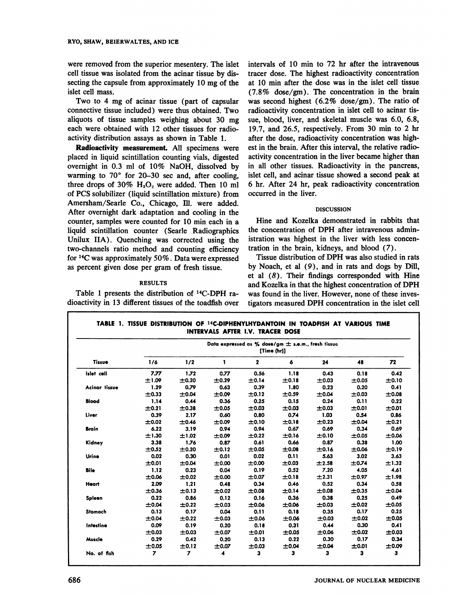were removed from the superior mesentery. The islet cell tissue was isolated from the acinar tissue by dis secting the capsule from approximately 10 mg of the islet cell mass.

Two to 4 mg of acinar tissue (part of capsular connective tissue included) were thus obtained. Two aliquots of tissue samples weighing about 30 mg each were obtained with 12 other tissues for radio activity distribution assays as shown in Table 1.

Radioactivity measurement. All specimens were placed in liquid scintillation counting vials, digested overnight in 0.3 ml of 10% NaOH, dissolved by warming to  $70^{\circ}$  for 20-30 sec and, after cooling, three drops of  $30\%$  H<sub>2</sub>O<sub>2</sub> were added. Then 10 ml of PCS solubilizer (liquid scintillation mixture) from Amersham/Searle Co., Chicago, Ill. were added. After overnight dark adaptation and cooling in the counter, samples were counted for 10 min each in a liquid scintillation counter (Searle Radiographics Unilux IIA). Quenching was corrected using the two-channels ratio method and counting efficiency for  $^{14}$ C was approximately 50%. Data were expressed as percent given dose per gram of fresh tissue.

## RESULTS

Table 1 presents the distribution of 14C-DPH ra dioactivity in 13 different tissues of the toadfish over intervals of 10 min to 72 hr after the intravenous tracer dose. The highest radioactivity concentration at 10 mm after the dose was in the islet cell tissue (7.8% dose/gm). The concentration in the brain was second highest (6.2% dose/gm). The ratio of radioactivity concentration in islet cell to acinar tis sue, blood, liver, and skeletal muscle was 6.0, 6.8, 19.7, and 26.5, respectively. From 30 min to 2 hr after the dose, radioactivity concentration was high est in the brain. After this interval, the relative radio activity concentration in the liver became higher than in all other tissues. Radioactivity in the pancreas, islet cell, and acinar tissue showed a second peak at 6 hr. After 24 hr, peak radioactivity concentration occurred in the liver.

## **DISCUSSION**

Hine and Kozelka demonstrated in rabbits that the concentration of DPH after intravenous admin istration was highest in the liver with less concen tration in the brain, kidneys, and blood (7).

Tissue distribution of DPH was also studied in rats by Noach, et al  $(9)$ , and in rats and dogs by Dill, et al (8). Their findings corresponded with Hine and Kozelka in that the highest concentration of DPH was found in the liver. However, none of these inves tigators measured DPH concentration in the islet cell

| <b>Tissue</b> | Data expressed as % dose/gm $\pm$ s.e.m., fresh tissue<br>[Time (hr)] |       |       |              |       |       |       |       |
|---------------|-----------------------------------------------------------------------|-------|-------|--------------|-------|-------|-------|-------|
|               | 1/6                                                                   | 1/2   |       | $\mathbf{2}$ | 6     | 24    | 48    | 72    |
| Islet cell    | 7.77                                                                  | 1.72  | 0.77  | 0.56         | 1.18  | 0.43  | 0.18  | 0.42  |
|               | ±1.09                                                                 | ±0.20 | ±0.29 | ±0.14        | ±0.18 | ±0.03 | ±0.05 | ±0.10 |
| Acinar tissue | 1.29                                                                  | 0.79  | 0.63  | 0.39         | 1.80  | 0.23  | 0.20  | 0.41  |
|               | ±0.33                                                                 | ±0.04 | ±0.09 | ±0.12        | ±0.59 | ±0.04 | ±0.03 | ±0.08 |
| <b>Blood</b>  | 1.14                                                                  | 0.44  | 0.36  | 0.25         | 0.15  | 0.24  | 0.11  | 0.22  |
|               | ±0.21                                                                 | ±0.38 | ±0.05 | ±0.03        | ±0.03 | ±0.03 | ±0.01 | ±0.01 |
| Liver         | 0.39                                                                  | 2.17  | 0.60  | 0.80         | 0.74  | 1.03  | 0.54  | 0.86  |
|               | ±0.02                                                                 | ±0.46 | ±0.09 | ±0.10        | ±0.18 | ±0.23 | ±0.04 | ±0.21 |
| <b>Brain</b>  | 6.22                                                                  | 3.19  | 0.94  | 0.94         | 0.67  | 0.69  | 0.34  | 0.69  |
|               | ±1.30                                                                 | ±1.02 | ±0.09 | ±0.22        | ±0.16 | ±0.10 | ±0.05 | ±0.06 |
| Kidney        | 3.38                                                                  | 1.76  | 0.87  | 0.61         | 0.66  | 0.87  | 0.38  | 1.00  |
|               | ±0.52                                                                 | ±0.20 | ±0.12 | ±0.05        | ±0.08 | ±0.16 | ±0.06 | ±0.19 |
| Urine         | 0.02                                                                  | 0.30  | 0.01  | 0.02         | 0.11  | 5.63  | 3.02  | 3.63  |
|               | ±0.01                                                                 | ±0.04 | ±0.00 | ±0.00        | ±0.03 | ±2.58 | ±0.74 | ±1.32 |
| Bile          | 1.12                                                                  | 0.23  | 0.04  | 0.19         | 0.52  | 7.20  | 4.05  | 4.61  |
|               | ±0.06                                                                 | ±0.02 | ±0.00 | ±0.07        | ±0.18 | ±2.31 | ±0.97 | ±1.98 |
| Heart         | 2.09                                                                  | 1.21  | 0.48  | 0.34         | 0.46  | 0.52  | 0.34  | 0.58  |
|               | ±0.36                                                                 | ±0.13 | ±0.02 | ±0.08        | ±0.14 | ±0.08 | ±0.35 | ±0.04 |
| Spleen        | 0.22                                                                  | 0.86  | 0.12  | 0.16         | 0.36  | 0.38  | 0.25  | 0.49  |
|               | ±0.04                                                                 | ±0.22 | ±0.03 | ±0.06        | ±0.06 | ±0.03 | ±0.02 | ±0.05 |
| Stomach       | 0.13                                                                  | 0.17  | 0.04  | 0.11         | 0.18  | 0.35  | 0.17  | 0.25  |
|               | ±0.04                                                                 | ±0.22 | ±0.03 | ±0.06        | ±0.06 | ±0.03 | ±0.02 | ±0.05 |
| Intestine     | 0.09                                                                  | 0.19  | 0.20  | 0.18         | 0.31  | 0.44  | 0.30  | 0.41  |
|               | ±0.03                                                                 | ±0.03 | ±0.07 | ±0.01        | ±0.05 | ±0.06 | ±0.02 | ±0.03 |
| Muscle        | 0.29                                                                  | 0.42  | 0.20  | 0.13         | 0.22  | 0.30  | 0.17  | 0.34  |
|               | ±0.05                                                                 | ±0.12 | ±0.07 | ±0.03        | ±0.04 | ±0.04 | ±0.01 | ±0.09 |
| No. of fish   | 7                                                                     | 7     |       | 3            | з     | 3     | 3     | 3     |

**TABLE 1. TISSUE DISTRIBUTION OF 14C@IPHENYLHYDANTOIN IN TOADFISH AT VARIOUS TIME**